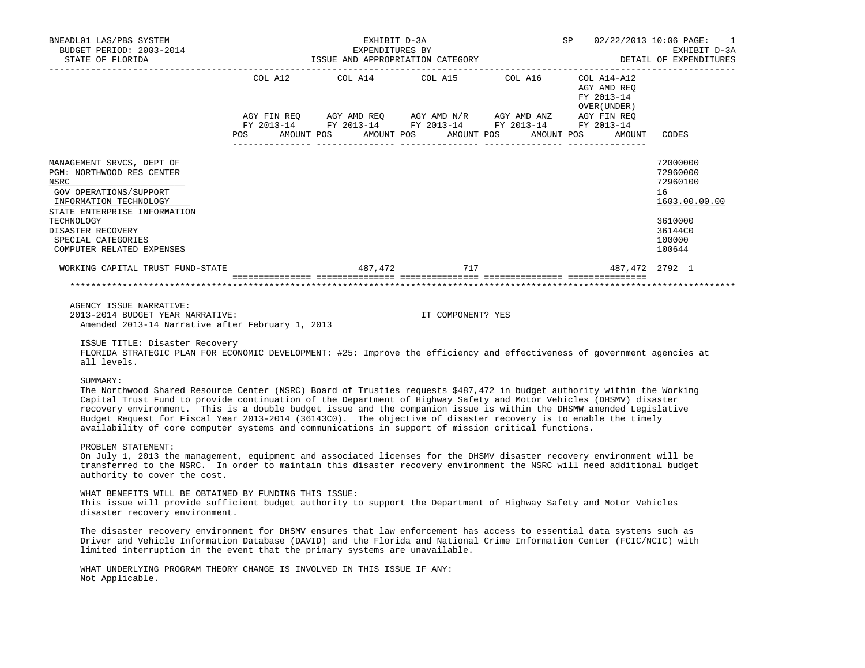| BNEADL01 LAS/PBS SYSTEM<br>BUDGET PERIOD: 2003-2014<br>STATE OF FLORIDA                                                                                                                                                                                                                                                                                                                                                                                                                                                                                                                                  | EXHIBIT D-3A<br>EXPENDITURES BY<br>ISSUE AND APPROPRIATION CATEGORY                                                                                                                                                                                                                                                                                                                                                                                                                                            | EXPENDITURES BY   | SP 02/22/2013 10:06 PAGE:                  | EXHIBIT D-3A<br>DETAIL OF EXPENDITURES                                                            |
|----------------------------------------------------------------------------------------------------------------------------------------------------------------------------------------------------------------------------------------------------------------------------------------------------------------------------------------------------------------------------------------------------------------------------------------------------------------------------------------------------------------------------------------------------------------------------------------------------------|----------------------------------------------------------------------------------------------------------------------------------------------------------------------------------------------------------------------------------------------------------------------------------------------------------------------------------------------------------------------------------------------------------------------------------------------------------------------------------------------------------------|-------------------|--------------------------------------------|---------------------------------------------------------------------------------------------------|
|                                                                                                                                                                                                                                                                                                                                                                                                                                                                                                                                                                                                          | $\begin{tabular}{lllllllllll} \multicolumn{2}{l}{{\text{COL}}}\  \, \texttt{A12}\qquad \qquad &\multicolumn{2}{l}{\text{COL}}\  \, \texttt{A15}\qquad \qquad &\multicolumn{2}{l}{\text{COL}}\  \, \texttt{A16}\qquad \qquad &\multicolumn{2}{l}{\text{COL}}\  \, \texttt{A14-A12}\qquad \qquad &\multicolumn{2}{l}{\text{COL}}\  \, \texttt{A16}\qquad \qquad &\multicolumn{2}{l}{\text{COL}}\  \, \texttt{A14-A12}\qquad \qquad &\multicolumn{2}{l$<br>POS AMOUNT POS AMOUNT POS AMOUNT POS AMOUNT POS AMOUNT |                   | AGY AMD REQ<br>FY 2013-14<br>OVER (UNDER ) | CODES                                                                                             |
| MANAGEMENT SRVCS, DEPT OF<br>PGM: NORTHWOOD RES CENTER<br>NSRC<br>GOV OPERATIONS/SUPPORT<br>INFORMATION TECHNOLOGY<br>STATE ENTERPRISE INFORMATION<br>TECHNOLOGY<br>DISASTER RECOVERY<br>SPECIAL CATEGORIES<br>COMPUTER RELATED EXPENSES                                                                                                                                                                                                                                                                                                                                                                 |                                                                                                                                                                                                                                                                                                                                                                                                                                                                                                                |                   |                                            | 72000000<br>72960000<br>72960100<br>16<br>1603.00.00.00<br>3610000<br>36144C0<br>100000<br>100644 |
| WORKING CAPITAL TRUST FUND-STATE $487,472$ $717$ $487,472$ $2792$ 1                                                                                                                                                                                                                                                                                                                                                                                                                                                                                                                                      |                                                                                                                                                                                                                                                                                                                                                                                                                                                                                                                |                   |                                            |                                                                                                   |
|                                                                                                                                                                                                                                                                                                                                                                                                                                                                                                                                                                                                          |                                                                                                                                                                                                                                                                                                                                                                                                                                                                                                                |                   |                                            |                                                                                                   |
| AGENCY ISSUE NARRATIVE:<br>2013-2014 BUDGET YEAR NARRATIVE:<br>Amended 2013-14 Narrative after February 1, 2013<br>ISSUE TITLE: Disaster Recovery<br>FLORIDA STRATEGIC PLAN FOR ECONOMIC DEVELOPMENT: #25: Improve the efficiency and effectiveness of government agencies at                                                                                                                                                                                                                                                                                                                            |                                                                                                                                                                                                                                                                                                                                                                                                                                                                                                                | IT COMPONENT? YES |                                            |                                                                                                   |
| all levels.                                                                                                                                                                                                                                                                                                                                                                                                                                                                                                                                                                                              |                                                                                                                                                                                                                                                                                                                                                                                                                                                                                                                |                   |                                            |                                                                                                   |
| SUMMARY:<br>The Northwood Shared Resource Center (NSRC) Board of Trusties requests \$487,472 in budget authority within the Working<br>Capital Trust Fund to provide continuation of the Department of Highway Safety and Motor Vehicles (DHSMV) disaster<br>recovery environment. This is a double budget issue and the companion issue is within the DHSMW amended Legislative<br>Budget Request for Fiscal Year 2013-2014 (36143CO). The objective of disaster recovery is to enable the timely<br>availability of core computer systems and communications in support of mission critical functions. |                                                                                                                                                                                                                                                                                                                                                                                                                                                                                                                |                   |                                            |                                                                                                   |
| PROBLEM STATEMENT:<br>On July 1, 2013 the management, equipment and associated licenses for the DHSMV disaster recovery environment will be<br>transferred to the NSRC. In order to maintain this disaster recovery environment the NSRC will need additional budget<br>authority to cover the cost.                                                                                                                                                                                                                                                                                                     |                                                                                                                                                                                                                                                                                                                                                                                                                                                                                                                |                   |                                            |                                                                                                   |
| WHAT BENEFITS WILL BE OBTAINED BY FUNDING THIS ISSUE:<br>This issue will provide sufficient budget authority to support the Department of Highway Safety and Motor Vehicles<br>disaster recovery environment.                                                                                                                                                                                                                                                                                                                                                                                            |                                                                                                                                                                                                                                                                                                                                                                                                                                                                                                                |                   |                                            |                                                                                                   |

 The disaster recovery environment for DHSMV ensures that law enforcement has access to essential data systems such as Driver and Vehicle Information Database (DAVID) and the Florida and National Crime Information Center (FCIC/NCIC) with limited interruption in the event that the primary systems are unavailable.

 WHAT UNDERLYING PROGRAM THEORY CHANGE IS INVOLVED IN THIS ISSUE IF ANY: Not Applicable.